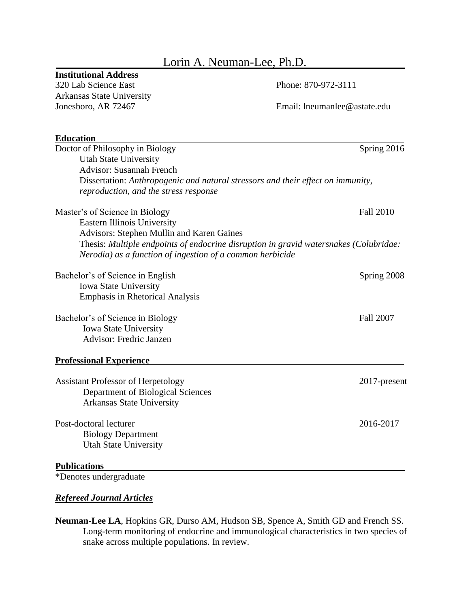# Lorin A. Neuman-Lee, Ph.D.

# **Institutional Address**

320 Lab Science East Phone: 870-972-3111 Arkansas State University

Jonesboro, AR 72467 Email: lneumanlee@astate.edu

| <b>Education</b>                                                                      |                  |
|---------------------------------------------------------------------------------------|------------------|
| Doctor of Philosophy in Biology                                                       | Spring 2016      |
| <b>Utah State University</b>                                                          |                  |
| <b>Advisor: Susannah French</b>                                                       |                  |
| Dissertation: Anthropogenic and natural stressors and their effect on immunity,       |                  |
| reproduction, and the stress response                                                 |                  |
| Master's of Science in Biology                                                        | <b>Fall 2010</b> |
| <b>Eastern Illinois University</b>                                                    |                  |
| Advisors: Stephen Mullin and Karen Gaines                                             |                  |
| Thesis: Multiple endpoints of endocrine disruption in gravid watersnakes (Colubridae: |                  |
| Nerodia) as a function of ingestion of a common herbicide                             |                  |
| Bachelor's of Science in English                                                      | Spring 2008      |
| <b>Iowa State University</b>                                                          |                  |
| <b>Emphasis in Rhetorical Analysis</b>                                                |                  |
| Bachelor's of Science in Biology                                                      | <b>Fall 2007</b> |
| <b>Iowa State University</b>                                                          |                  |
| Advisor: Fredric Janzen                                                               |                  |
| <b>Professional Experience</b>                                                        |                  |
| <b>Assistant Professor of Herpetology</b>                                             | 2017-present     |
| Department of Biological Sciences                                                     |                  |
| <b>Arkansas State University</b>                                                      |                  |
|                                                                                       |                  |
| Post-doctoral lecturer                                                                | 2016-2017        |
| <b>Biology Department</b>                                                             |                  |
| <b>Utah State University</b>                                                          |                  |
| <b>Publications</b>                                                                   |                  |

\*Denotes undergraduate

### *Refereed Journal Articles*

**Neuman-Lee LA**, Hopkins GR, Durso AM, Hudson SB, Spence A, Smith GD and French SS. Long-term monitoring of endocrine and immunological characteristics in two species of snake across multiple populations. In review.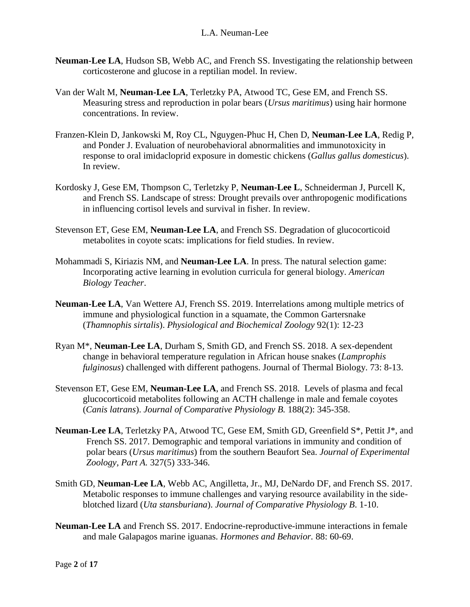- **Neuman-Lee LA**, Hudson SB, Webb AC, and French SS. Investigating the relationship between corticosterone and glucose in a reptilian model. In review.
- Van der Walt M, **Neuman-Lee LA**, Terletzky PA, Atwood TC, Gese EM, and French SS. Measuring stress and reproduction in polar bears (*Ursus maritimus*) using hair hormone concentrations. In review.
- Franzen-Klein D, Jankowski M, Roy CL, Nguygen-Phuc H, Chen D, **Neuman-Lee LA**, Redig P, and Ponder J. Evaluation of neurobehavioral abnormalities and immunotoxicity in response to oral imidacloprid exposure in domestic chickens (*Gallus gallus domesticus*). In review.
- Kordosky J, Gese EM, Thompson C, Terletzky P, **Neuman-Lee L**, Schneiderman J, Purcell K, and French SS. Landscape of stress: Drought prevails over anthropogenic modifications in influencing cortisol levels and survival in fisher. In review.
- Stevenson ET, Gese EM, **Neuman-Lee LA**, and French SS. Degradation of glucocorticoid metabolites in coyote scats: implications for field studies. In review.
- Mohammadi S, Kiriazis NM, and **Neuman-Lee LA**. In press. The natural selection game: Incorporating active learning in evolution curricula for general biology. *American Biology Teacher*.
- **Neuman-Lee LA**, Van Wettere AJ, French SS. 2019. Interrelations among multiple metrics of immune and physiological function in a squamate, the Common Gartersnake (*Thamnophis sirtalis*). *Physiological and Biochemical Zoology* 92(1): 12-23
- Ryan M\*, **Neuman-Lee LA**, Durham S, Smith GD, and French SS. 2018. A sex-dependent change in behavioral temperature regulation in African house snakes (*Lamprophis fulginosus*) challenged with different pathogens. Journal of Thermal Biology. 73: 8-13.
- Stevenson ET, Gese EM, **Neuman-Lee LA**, and French SS. 2018. Levels of plasma and fecal glucocorticoid metabolites following an ACTH challenge in male and female coyotes (*Canis latrans*). *Journal of Comparative Physiology B.* 188(2): 345-358.
- **Neuman-Lee LA**, Terletzky PA, Atwood TC, Gese EM, Smith GD, Greenfield S\*, Pettit J\*, and French SS. 2017. Demographic and temporal variations in immunity and condition of polar bears (*Ursus maritimus*) from the southern Beaufort Sea. *Journal of Experimental Zoology, Part A.* 327(5) 333-346.
- Smith GD, **Neuman-Lee LA**, Webb AC, Angilletta, Jr., MJ, DeNardo DF, and French SS. 2017. Metabolic responses to immune challenges and varying resource availability in the sideblotched lizard (*Uta stansburiana*). *Journal of Comparative Physiology B*. 1-10.
- **Neuman-Lee LA** and French SS. 2017. Endocrine-reproductive-immune interactions in female and male Galapagos marine iguanas. *Hormones and Behavior.* 88: 60-69.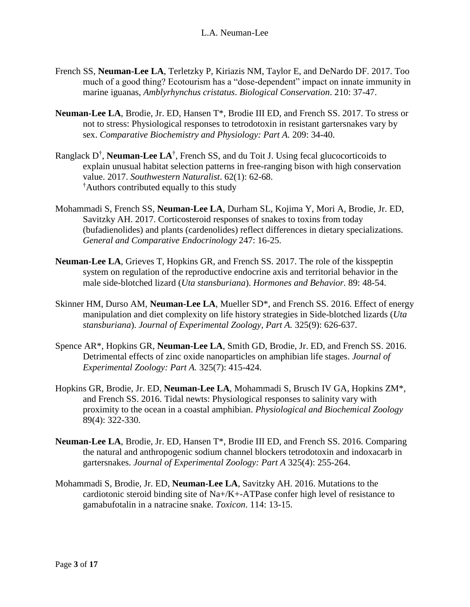- French SS, **Neuman-Lee LA**, Terletzky P, Kiriazis NM, Taylor E, and DeNardo DF. 2017. Too much of a good thing? Ecotourism has a "dose-dependent" impact on innate immunity in marine iguanas, *Amblyrhynchus cristatus*. *Biological Conservation*. 210: 37-47.
- **Neuman-Lee LA**, Brodie, Jr. ED, Hansen T\*, Brodie III ED, and French SS. 2017. To stress or not to stress: Physiological responses to tetrodotoxin in resistant gartersnakes vary by sex. *Comparative Biochemistry and Physiology: Part A.* 209: 34-40.
- Ranglack D† , **Neuman-Lee LA**† , French SS, and du Toit J. Using fecal glucocorticoids to explain unusual habitat selection patterns in free-ranging bison with high conservation value. 2017. *Southwestern Naturalist*. 62(1): 62-68. †Authors contributed equally to this study
- Mohammadi S, French SS, **Neuman-Lee LA**, Durham SL, Kojima Y, Mori A, Brodie, Jr. ED, Savitzky AH. 2017. Corticosteroid responses of snakes to toxins from today (bufadienolides) and plants (cardenolides) reflect differences in dietary specializations. *General and Comparative Endocrinology* 247: 16-25.
- **Neuman-Lee LA**, Grieves T, Hopkins GR, and French SS. 2017. The role of the kisspeptin system on regulation of the reproductive endocrine axis and territorial behavior in the male side-blotched lizard (*Uta stansburiana*). *Hormones and Behavior.* 89: 48-54.
- Skinner HM, Durso AM, **Neuman-Lee LA**, Mueller SD\*, and French SS. 2016. Effect of energy manipulation and diet complexity on life history strategies in Side-blotched lizards (*Uta stansburiana*). *Journal of Experimental Zoology, Part A.* 325(9): 626-637.
- Spence AR\*, Hopkins GR, **Neuman-Lee LA**, Smith GD, Brodie, Jr. ED, and French SS. 2016. Detrimental effects of zinc oxide nanoparticles on amphibian life stages. *Journal of Experimental Zoology: Part A.* 325(7): 415-424.
- Hopkins GR, Brodie, Jr. ED, **Neuman-Lee LA**, Mohammadi S, Brusch IV GA, Hopkins ZM\*, and French SS. 2016. Tidal newts: Physiological responses to salinity vary with proximity to the ocean in a coastal amphibian. *Physiological and Biochemical Zoology* 89(4): 322-330.
- **Neuman-Lee LA**, Brodie, Jr. ED, Hansen T\*, Brodie III ED, and French SS. 2016. Comparing the natural and anthropogenic sodium channel blockers tetrodotoxin and indoxacarb in gartersnakes. *Journal of Experimental Zoology: Part A* 325(4): 255-264.
- Mohammadi S, Brodie, Jr. ED, **Neuman-Lee LA**, Savitzky AH. 2016. Mutations to the cardiotonic steroid binding site of Na+/K+-ATPase confer high level of resistance to gamabufotalin in a natracine snake. *Toxicon*. 114: 13-15.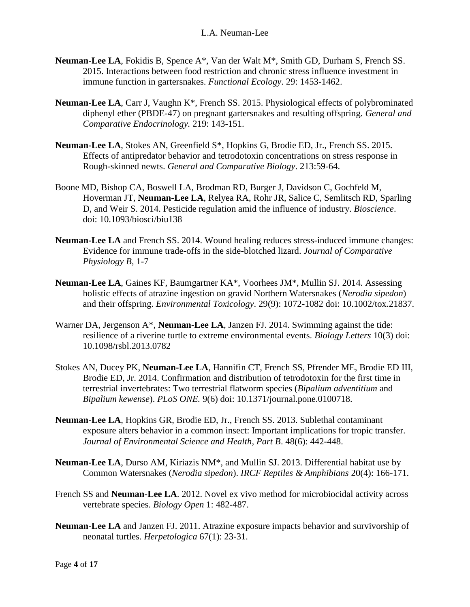- **Neuman-Lee LA**, Fokidis B, Spence A\*, Van der Walt M\*, Smith GD, Durham S, French SS. 2015. Interactions between food restriction and chronic stress influence investment in immune function in gartersnakes. *Functional Ecology*. 29: 1453-1462.
- **Neuman-Lee LA**, Carr J, Vaughn K\*, French SS. 2015. Physiological effects of polybrominated diphenyl ether (PBDE-47) on pregnant gartersnakes and resulting offspring. *General and Comparative Endocrinology.* 219: 143-151.
- **Neuman-Lee LA**, Stokes AN, Greenfield S\*, Hopkins G, Brodie ED, Jr., French SS. 2015. Effects of antipredator behavior and tetrodotoxin concentrations on stress response in Rough-skinned newts. *General and Comparative Biology*. 213:59-64.
- Boone MD, Bishop CA, Boswell LA, Brodman RD, Burger J, Davidson C, Gochfeld M, Hoverman JT, **Neuman-Lee LA**, Relyea RA, Rohr JR, Salice C, Semlitsch RD, Sparling D, and Weir S. 2014. Pesticide regulation amid the influence of industry. *Bioscience*. doi: 10.1093/biosci/biu138
- **Neuman-Lee LA** and French SS. 2014. Wound healing reduces stress-induced immune changes: Evidence for immune trade-offs in the side-blotched lizard. *Journal of Comparative Physiology B*, 1-7
- **Neuman-Lee LA**, Gaines KF, Baumgartner KA\*, Voorhees JM\*, Mullin SJ. 2014. Assessing holistic effects of atrazine ingestion on gravid Northern Watersnakes (*Nerodia sipedon*) and their offspring. *Environmental Toxicology*. 29(9): 1072-1082 doi: 10.1002/tox.21837.
- Warner DA, Jergenson A\*, **Neuman-Lee LA**, Janzen FJ. 2014. Swimming against the tide: resilience of a riverine turtle to extreme environmental events. *Biology Letters* 10(3) doi: 10.1098/rsbl.2013.0782
- Stokes AN, Ducey PK, **Neuman-Lee LA**, Hannifin CT, French SS, Pfrender ME, Brodie ED III, Brodie ED, Jr. 2014. Confirmation and distribution of tetrodotoxin for the first time in terrestrial invertebrates: Two terrestrial flatworm species (*Bipalium adventitium* and *Bipalium kewense*). *PLoS ONE.* 9(6) doi: 10.1371/journal.pone.0100718.
- **Neuman-Lee LA**, Hopkins GR, Brodie ED, Jr., French SS. 2013. Sublethal contaminant exposure alters behavior in a common insect: Important implications for tropic transfer. *Journal of Environmental Science and Health, Part B*. 48(6): 442-448.
- **Neuman-Lee LA**, Durso AM, Kiriazis NM\*, and Mullin SJ. 2013. Differential habitat use by Common Watersnakes (*Nerodia sipedon*). *IRCF Reptiles & Amphibians* 20(4): 166-171.
- French SS and **Neuman-Lee LA**. 2012. Novel ex vivo method for microbiocidal activity across vertebrate species. *Biology Open* 1: 482-487.
- **Neuman-Lee LA** and Janzen FJ. 2011. Atrazine exposure impacts behavior and survivorship of neonatal turtles. *Herpetologica* 67(1): 23-31.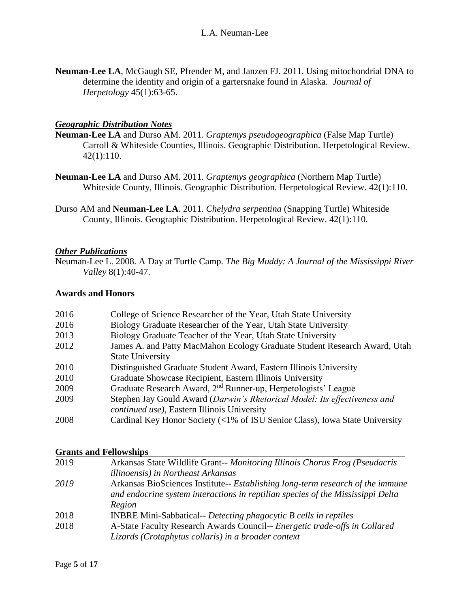**Neuman-Lee LA**, McGaugh SE, Pfrender M, and Janzen FJ. 2011. Using mitochondrial DNA to determine the identity and origin of a gartersnake found in Alaska. *Journal of Herpetology* 45(1):63-65.

### *Geographic Distribution Notes*

- **Neuman-Lee LA** and Durso AM. 2011*. Graptemys pseudogeographica* (False Map Turtle) Carroll & Whiteside Counties, Illinois. Geographic Distribution. Herpetological Review. 42(1):110.
- **Neuman-Lee LA** and Durso AM. 2011*. Graptemys geographica* (Northern Map Turtle) Whiteside County, Illinois. Geographic Distribution. Herpetological Review. 42(1):110.
- Durso AM and **Neuman-Lee LA**. 2011*. Chelydra serpentina* (Snapping Turtle) Whiteside County, Illinois. Geographic Distribution. Herpetological Review. 42(1):110.

#### *Other Publications*

Neuman-Lee L. 2008. A Day at Turtle Camp. *The Big Muddy: A Journal of the Mississippi River Valley* 8(1):40-47.

#### **Awards and Honors**

| 2016 | College of Science Researcher of the Year, Utah State University            |
|------|-----------------------------------------------------------------------------|
| 2016 | Biology Graduate Researcher of the Year, Utah State University              |
| 2013 | Biology Graduate Teacher of the Year, Utah State University                 |
| 2012 | James A. and Patty MacMahon Ecology Graduate Student Research Award, Utah   |
|      | <b>State University</b>                                                     |
| 2010 | Distinguished Graduate Student Award, Eastern Illinois University           |
| 2010 | Graduate Showcase Recipient, Eastern Illinois University                    |
| 2009 | Graduate Research Award, 2 <sup>nd</sup> Runner-up, Herpetologists' League  |
| 2009 | Stephen Jay Gould Award (Darwin's Rhetorical Model: Its effectiveness and   |
|      | <i>continued use</i> ), Eastern Illinois University                         |
| 2008 | Cardinal Key Honor Society (<1% of ISU Senior Class), Iowa State University |

#### **Grants and Fellowships**

| 2019 | Arkansas State Wildlife Grant-- Monitoring Illinois Chorus Frog (Pseudacris     |
|------|---------------------------------------------------------------------------------|
|      | <i>illinoensis</i> ) in Northeast Arkansas                                      |
| 2019 | Arkansas BioSciences Institute-- Establishing long-term research of the immune  |
|      | and endocrine system interactions in reptilian species of the Mississippi Delta |
|      | Region                                                                          |
| 2018 | INBRE Mini-Sabbatical-- Detecting phagocytic B cells in reptiles                |
| 2018 | A-State Faculty Research Awards Council-- Energetic trade-offs in Collared      |
|      | Lizards (Crotaphytus collaris) in a broader context                             |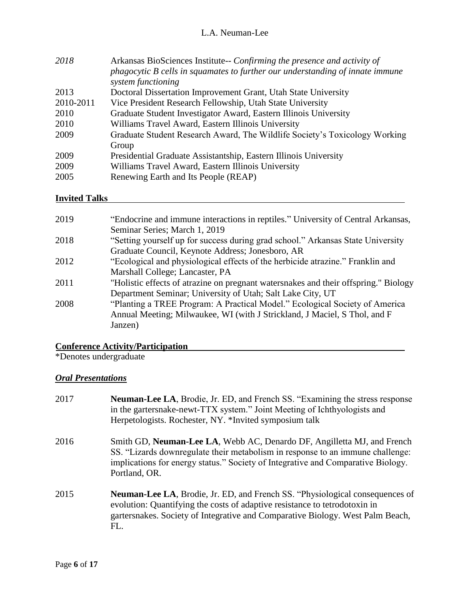| 2018      | Arkansas BioSciences Institute-- Confirming the presence and activity of<br>phagocytic B cells in squamates to further our understanding of innate immune<br>system functioning |
|-----------|---------------------------------------------------------------------------------------------------------------------------------------------------------------------------------|
| 2013      | Doctoral Dissertation Improvement Grant, Utah State University                                                                                                                  |
| 2010-2011 | Vice President Research Fellowship, Utah State University                                                                                                                       |
| 2010      | Graduate Student Investigator Award, Eastern Illinois University                                                                                                                |
| 2010      | Williams Travel Award, Eastern Illinois University                                                                                                                              |
| 2009      | Graduate Student Research Award, The Wildlife Society's Toxicology Working<br>Group                                                                                             |
| 2009      | Presidential Graduate Assistantship, Eastern Illinois University                                                                                                                |
| 2009      | Williams Travel Award, Eastern Illinois University                                                                                                                              |
| 2005      | Renewing Earth and Its People (REAP)                                                                                                                                            |

# **Invited Talks**

| 2019 | "Endocrine and immune interactions in reptiles." University of Central Arkansas,    |
|------|-------------------------------------------------------------------------------------|
|      | Seminar Series; March 1, 2019                                                       |
| 2018 | "Setting yourself up for success during grad school." Arkansas State University     |
|      | Graduate Council, Keynote Address; Jonesboro, AR                                    |
| 2012 | "Ecological and physiological effects of the herbicide atrazine." Franklin and      |
|      | Marshall College; Lancaster, PA                                                     |
| 2011 | "Holistic effects of atrazine on pregnant watersnakes and their offspring." Biology |
|      | Department Seminar; University of Utah; Salt Lake City, UT                          |
| 2008 | "Planting a TREE Program: A Practical Model." Ecological Society of America         |
|      | Annual Meeting; Milwaukee, WI (with J Strickland, J Maciel, S Thol, and F           |
|      | Janzen)                                                                             |
|      |                                                                                     |

### **Conference Activity/Participation**

\*Denotes undergraduate

# *Oral Presentations*

| 2017 | <b>Neuman-Lee LA, Brodie, Jr. ED, and French SS. "Examining the stress response</b><br>in the gartersnake-newt-TTX system." Joint Meeting of Ichthyologists and<br>Herpetologists. Rochester, NY. *Invited symposium talk                                      |
|------|----------------------------------------------------------------------------------------------------------------------------------------------------------------------------------------------------------------------------------------------------------------|
| 2016 | Smith GD, Neuman-Lee LA, Webb AC, Denardo DF, Angilletta MJ, and French<br>SS. "Lizards downregulate their metabolism in response to an immune challenge:<br>implications for energy status." Society of Integrative and Comparative Biology.<br>Portland, OR. |
| 2015 | <b>Neuman-Lee LA, Brodie, Jr. ED, and French SS. "Physiological consequences of</b><br>evolution: Quantifying the costs of adaptive resistance to tetrodotoxin in<br>gartersnakes. Society of Integrative and Comparative Biology. West Palm Beach,<br>FL.     |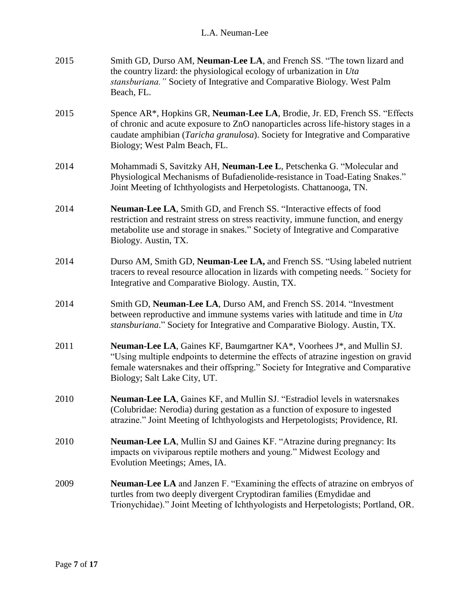| 2015 | Smith GD, Durso AM, Neuman-Lee LA, and French SS. "The town lizard and<br>the country lizard: the physiological ecology of urbanization in Uta<br>stansburiana." Society of Integrative and Comparative Biology. West Palm<br>Beach, FL.                                                |
|------|-----------------------------------------------------------------------------------------------------------------------------------------------------------------------------------------------------------------------------------------------------------------------------------------|
| 2015 | Spence AR*, Hopkins GR, Neuman-Lee LA, Brodie, Jr. ED, French SS. "Effects<br>of chronic and acute exposure to ZnO nanoparticles across life-history stages in a<br>caudate amphibian (Taricha granulosa). Society for Integrative and Comparative<br>Biology; West Palm Beach, FL.     |
| 2014 | Mohammadi S, Savitzky AH, Neuman-Lee L, Petschenka G. "Molecular and<br>Physiological Mechanisms of Bufadienolide-resistance in Toad-Eating Snakes."<br>Joint Meeting of Ichthyologists and Herpetologists. Chattanooga, TN.                                                            |
| 2014 | <b>Neuman-Lee LA, Smith GD, and French SS. "Interactive effects of food</b><br>restriction and restraint stress on stress reactivity, immune function, and energy<br>metabolite use and storage in snakes." Society of Integrative and Comparative<br>Biology. Austin, TX.              |
| 2014 | Durso AM, Smith GD, Neuman-Lee LA, and French SS. "Using labeled nutrient<br>tracers to reveal resource allocation in lizards with competing needs." Society for<br>Integrative and Comparative Biology. Austin, TX.                                                                    |
| 2014 | Smith GD, Neuman-Lee LA, Durso AM, and French SS. 2014. "Investment<br>between reproductive and immune systems varies with latitude and time in Uta<br>stansburiana." Society for Integrative and Comparative Biology. Austin, TX.                                                      |
| 2011 | <b>Neuman-Lee LA, Gaines KF, Baumgartner KA*, Voorhees J*, and Mullin SJ.</b><br>"Using multiple endpoints to determine the effects of atrazine ingestion on gravid<br>female watersnakes and their offspring." Society for Integrative and Comparative<br>Biology; Salt Lake City, UT. |
| 2010 | Neuman-Lee LA, Gaines KF, and Mullin SJ. "Estradiol levels in watersnakes<br>(Colubridae: Nerodia) during gestation as a function of exposure to ingested<br>atrazine." Joint Meeting of Ichthyologists and Herpetologists; Providence, RI.                                             |
| 2010 | Neuman-Lee LA, Mullin SJ and Gaines KF. "Atrazine during pregnancy: Its<br>impacts on viviparous reptile mothers and young." Midwest Ecology and<br>Evolution Meetings; Ames, IA.                                                                                                       |
| 2009 | <b>Neuman-Lee LA</b> and Janzen F. "Examining the effects of atrazine on embryos of<br>turtles from two deeply divergent Cryptodiran families (Emydidae and<br>Trionychidae)." Joint Meeting of Ichthyologists and Herpetologists; Portland, OR.                                        |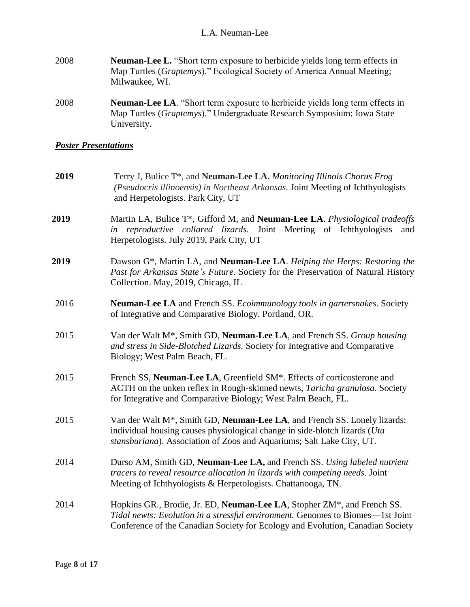- 2008 **Neuman-Lee L.** "Short term exposure to herbicide yields long term effects in Map Turtles (*Graptemys*)." Ecological Society of America Annual Meeting; Milwaukee, WI.
- 2008 **Neuman-Lee LA**. "Short term exposure to herbicide yields long term effects in Map Turtles (*Graptemys*)." Undergraduate Research Symposium; Iowa State University.

## *Poster Presentations*

| 2019 | Terry J, Bulice T*, and Neuman-Lee LA. Monitoring Illinois Chorus Frog<br>(Pseudocris illinoensis) in Northeast Arkansas. Joint Meeting of Ichthyologists<br>and Herpetologists. Park City, UT                                               |
|------|----------------------------------------------------------------------------------------------------------------------------------------------------------------------------------------------------------------------------------------------|
| 2019 | Martin LA, Bulice T*, Gifford M, and Neuman-Lee LA. Physiological tradeoffs<br>in reproductive collared lizards. Joint Meeting of Ichthyologists<br>and<br>Herpetologists. July 2019, Park City, UT                                          |
| 2019 | Dawson G*, Martin LA, and Neuman-Lee LA. Helping the Herps: Restoring the<br>Past for Arkansas State's Future. Society for the Preservation of Natural History<br>Collection. May, 2019, Chicago, IL                                         |
| 2016 | Neuman-Lee LA and French SS. Ecoimmunology tools in gartersnakes. Society<br>of Integrative and Comparative Biology. Portland, OR.                                                                                                           |
| 2015 | Van der Walt M <sup>*</sup> , Smith GD, Neuman-Lee LA, and French SS. Group housing<br>and stress in Side-Blotched Lizards. Society for Integrative and Comparative<br>Biology; West Palm Beach, FL.                                         |
| 2015 | French SS, Neuman-Lee LA, Greenfield SM <sup>*</sup> . Effects of corticosterone and<br>ACTH on the unken reflex in Rough-skinned newts, Taricha granulosa. Society<br>for Integrative and Comparative Biology; West Palm Beach, FL.         |
| 2015 | Van der Walt M <sup>*</sup> , Smith GD, Neuman-Lee LA, and French SS. Lonely lizards:<br>individual housing causes physiological change in side-blotch lizards (Uta<br>stansburiana). Association of Zoos and Aquariums; Salt Lake City, UT. |
| 2014 | Durso AM, Smith GD, Neuman-Lee LA, and French SS. Using labeled nutrient<br>tracers to reveal resource allocation in lizards with competing needs. Joint<br>Meeting of Ichthyologists & Herpetologists. Chattanooga, TN.                     |
| 2014 | Hopkins GR., Brodie, Jr. ED, Neuman-Lee LA, Stopher ZM*, and French SS.<br>Tidal newts: Evolution in a stressful environment. Genomes to Biomes-1st Joint<br>Conference of the Canadian Society for Ecology and Evolution, Canadian Society  |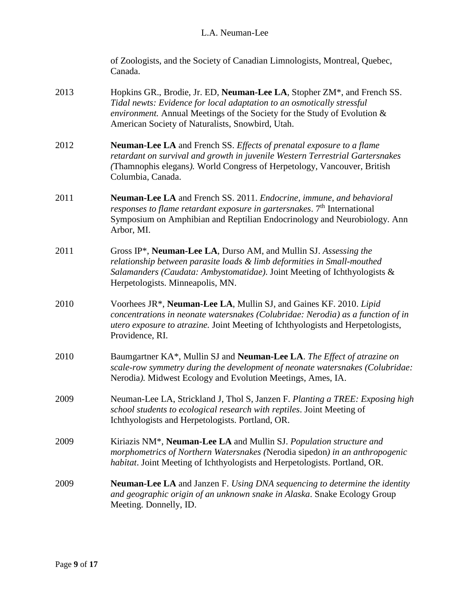| of Zoologists, and the Society of Canadian Limnologists, Montreal, Quebec, |
|----------------------------------------------------------------------------|
| Canada.                                                                    |

- 2013 Hopkins GR., Brodie, Jr. ED, **Neuman-Lee LA**, Stopher ZM\*, and French SS. *Tidal newts: Evidence for local adaptation to an osmotically stressful environment.* Annual Meetings of the Society for the Study of Evolution & American Society of Naturalists, Snowbird, Utah.
- 2012 **Neuman-Lee LA** and French SS. *Effects of prenatal exposure to a flame retardant on survival and growth in juvenile Western Terrestrial Gartersnakes (*Thamnophis elegans*).* World Congress of Herpetology, Vancouver, British Columbia, Canada.
- 2011 **Neuman-Lee LA** and French SS. 2011. *Endocrine, immune, and behavioral responses to flame retardant exposure in gartersnakes.* 7<sup>th</sup> International Symposium on Amphibian and Reptilian Endocrinology and Neurobiology. Ann Arbor, MI.
- 2011 Gross IP\*, **Neuman-Lee LA**, Durso AM, and Mullin SJ. *Assessing the relationship between parasite loads & limb deformities in Small-mouthed Salamanders (Caudata: Ambystomatidae)*. Joint Meeting of Ichthyologists & Herpetologists. Minneapolis, MN.
- 2010 Voorhees JR\*, **Neuman-Lee LA**, Mullin SJ, and Gaines KF. 2010. *Lipid concentrations in neonate watersnakes (Colubridae: Nerodia) as a function of in utero exposure to atrazine.* Joint Meeting of Ichthyologists and Herpetologists, Providence, RI.
- 2010 Baumgartner KA\*, Mullin SJ and **Neuman-Lee LA**. *The Effect of atrazine on scale-row symmetry during the development of neonate watersnakes (Colubridae:*  Nerodia*).* Midwest Ecology and Evolution Meetings, Ames, IA.
- 2009 Neuman-Lee LA, Strickland J, Thol S, Janzen F. *Planting a TREE: Exposing high school students to ecological research with reptiles*. Joint Meeting of Ichthyologists and Herpetologists. Portland, OR.
- 2009 Kiriazis NM\*, **Neuman-Lee LA** and Mullin SJ. *Population structure and morphometrics of Northern Watersnakes (*Nerodia sipedon*) in an anthropogenic habitat*. Joint Meeting of Ichthyologists and Herpetologists. Portland, OR.
- 2009 **Neuman-Lee LA** and Janzen F. *Using DNA sequencing to determine the identity and geographic origin of an unknown snake in Alaska*. Snake Ecology Group Meeting. Donnelly, ID.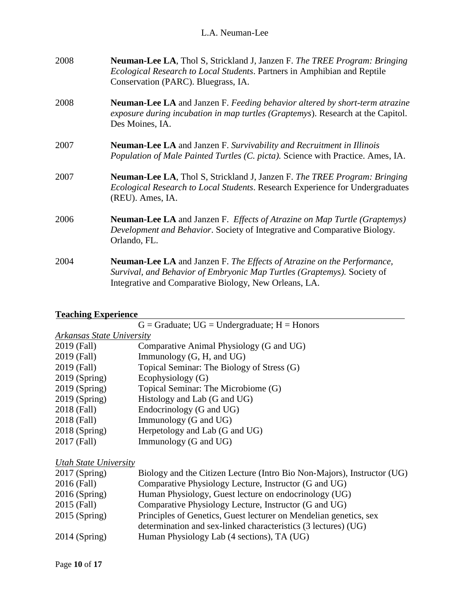| 2008 | <b>Neuman-Lee LA, Thol S, Strickland J, Janzen F. The TREE Program: Bringing</b><br><i>Ecological Research to Local Students. Partners in Amphibian and Reptile</i><br>Conservation (PARC). Bluegrass, IA.         |
|------|--------------------------------------------------------------------------------------------------------------------------------------------------------------------------------------------------------------------|
| 2008 | <b>Neuman-Lee LA</b> and Janzen F. Feeding behavior altered by short-term atrazine<br>exposure during incubation in map turtles (Graptemys). Research at the Capitol.<br>Des Moines, IA.                           |
| 2007 | <b>Neuman-Lee LA</b> and Janzen F. Survivability and Recruitment in Illinois<br>Population of Male Painted Turtles (C. picta). Science with Practice. Ames, IA.                                                    |
| 2007 | <b>Neuman-Lee LA, Thol S, Strickland J, Janzen F. The TREE Program: Bringing</b><br>Ecological Research to Local Students. Research Experience for Undergraduates<br>(REU). Ames, IA.                              |
| 2006 | Neuman-Lee LA and Janzen F. Effects of Atrazine on Map Turtle (Graptemys)<br>Development and Behavior. Society of Integrative and Comparative Biology.<br>Orlando, FL.                                             |
| 2004 | <b>Neuman-Lee LA</b> and Janzen F. The Effects of Atrazine on the Performance,<br>Survival, and Behavior of Embryonic Map Turtles (Graptemys). Society of<br>Integrative and Comparative Biology, New Orleans, LA. |

# **Teaching Experience**

|                           | $G =$ Graduate; UG = Undergraduate; H = Honors |  |
|---------------------------|------------------------------------------------|--|
| Arkansas State University |                                                |  |
| 2019 (Fall)               | Comparative Animal Physiology (G and UG)       |  |
| 2019 (Fall)               | Immunology $(G, H, and UG)$                    |  |
| 2019 (Fall)               | Topical Seminar: The Biology of Stress (G)     |  |
| $2019$ (Spring)           | Ecophysiology (G)                              |  |
| $2019$ (Spring)           | Topical Seminar: The Microbiome (G)            |  |
| $2019$ (Spring)           | Histology and Lab (G and UG)                   |  |
| 2018 (Fall)               | Endocrinology (G and UG)                       |  |
| 2018 (Fall)               | Immunology (G and UG)                          |  |
| $2018$ (Spring)           | Herpetology and Lab (G and UG)                 |  |
| 2017 (Fall)               | Immunology (G and UG)                          |  |
|                           |                                                |  |
| Utah State University     |                                                |  |

| $2017$ (Spring) | Biology and the Citizen Lecture (Intro Bio Non-Majors), Instructor (UG) |
|-----------------|-------------------------------------------------------------------------|
| 2016 (Fall)     | Comparative Physiology Lecture, Instructor (G and UG)                   |
| $2016$ (Spring) | Human Physiology, Guest lecture on endocrinology (UG)                   |
| 2015 (Fall)     | Comparative Physiology Lecture, Instructor (G and UG)                   |
| $2015$ (Spring) | Principles of Genetics, Guest lecturer on Mendelian genetics, sex       |
|                 | determination and sex-linked characteristics (3 lectures) (UG)          |
| $2014$ (Spring) | Human Physiology Lab (4 sections), TA (UG)                              |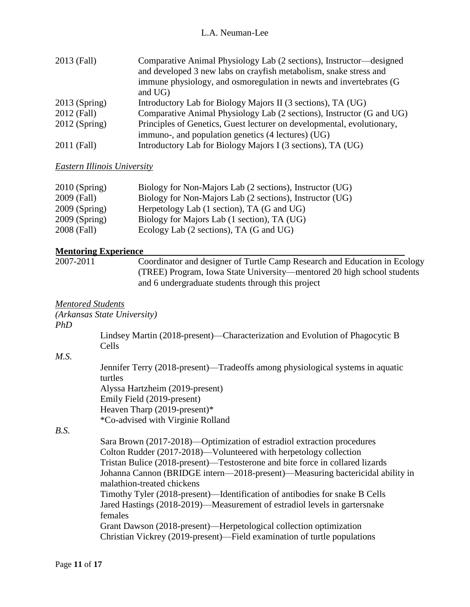| 2013 (Fall)     | Comparative Animal Physiology Lab (2 sections), Instructor—designed<br>and developed 3 new labs on crayfish metabolism, snake stress and<br>immune physiology, and osmoregulation in newts and invertebrates (G<br>and UG) |
|-----------------|----------------------------------------------------------------------------------------------------------------------------------------------------------------------------------------------------------------------------|
| $2013$ (Spring) | Introductory Lab for Biology Majors II (3 sections), TA (UG)                                                                                                                                                               |
| 2012 (Fall)     | Comparative Animal Physiology Lab (2 sections), Instructor (G and UG)                                                                                                                                                      |
| $2012$ (Spring) | Principles of Genetics, Guest lecturer on developmental, evolutionary,                                                                                                                                                     |
|                 | immuno-, and population genetics (4 lectures) (UG)                                                                                                                                                                         |
| 2011 (Fall)     | Introductory Lab for Biology Majors I (3 sections), TA (UG)                                                                                                                                                                |

#### *Eastern Illinois University*

| $2010$ (Spring) | Biology for Non-Majors Lab (2 sections), Instructor (UG) |
|-----------------|----------------------------------------------------------|
| 2009 (Fall)     | Biology for Non-Majors Lab (2 sections), Instructor (UG) |
| $2009$ (Spring) | Herpetology Lab (1 section), TA (G and UG)               |
| $2009$ (Spring) | Biology for Majors Lab (1 section), TA (UG)              |
| 2008 (Fall)     | Ecology Lab (2 sections), TA (G and UG)                  |

\*Co-advised with Virginie Rolland

#### **Mentoring Experience**

2007-2011 Coordinator and designer of Turtle Camp Research and Education in Ecology (TREE) Program, Iowa State University—mentored 20 high school students and 6 undergraduate students through this project

### *Mentored Students*

*(Arkansas State University)*

#### *PhD*

Lindsey Martin (2018-present)—Characterization and Evolution of Phagocytic B Cells

#### *M.S.*

Jennifer Terry (2018-present)—Tradeoffs among physiological systems in aquatic turtles Alyssa Hartzheim (2019-present) Emily Field (2019-present) Heaven Tharp (2019-present)\*

### *B.S.*

Sara Brown (2017-2018)—Optimization of estradiol extraction procedures Colton Rudder (2017-2018)—Volunteered with herpetology collection Tristan Bulice (2018-present)—Testosterone and bite force in collared lizards Johanna Cannon (BRIDGE intern—2018-present)—Measuring bactericidal ability in malathion-treated chickens Timothy Tyler (2018-present)—Identification of antibodies for snake B Cells Jared Hastings (2018-2019)—Measurement of estradiol levels in gartersnake females Grant Dawson (2018-present)—Herpetological collection optimization Christian Vickrey (2019-present)—Field examination of turtle populations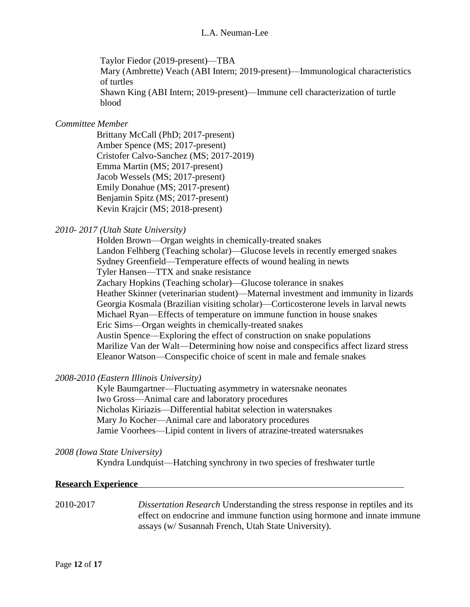Taylor Fiedor (2019-present)—TBA Mary (Ambrette) Veach (ABI Intern; 2019-present)—Immunological characteristics of turtles Shawn King (ABI Intern; 2019-present)—Immune cell characterization of turtle blood

#### *Committee Member*

Brittany McCall (PhD; 2017-present) Amber Spence (MS; 2017-present) Cristofer Calvo-Sanchez (MS; 2017-2019) Emma Martin (MS; 2017-present) Jacob Wessels (MS; 2017-present) Emily Donahue (MS; 2017-present) Benjamin Spitz (MS; 2017-present) Kevin Krajcir (MS; 2018-present)

### *2010- 2017 (Utah State University)*

Holden Brown—Organ weights in chemically-treated snakes Landon Felhberg (Teaching scholar)—Glucose levels in recently emerged snakes Sydney Greenfield—Temperature effects of wound healing in newts Tyler Hansen—TTX and snake resistance Zachary Hopkins (Teaching scholar)—Glucose tolerance in snakes Heather Skinner (veterinarian student)—Maternal investment and immunity in lizards Georgia Kosmala (Brazilian visiting scholar)—Corticosterone levels in larval newts Michael Ryan—Effects of temperature on immune function in house snakes Eric Sims—Organ weights in chemically-treated snakes Austin Spence—Exploring the effect of construction on snake populations Marilize Van der Walt—Determining how noise and conspecifics affect lizard stress Eleanor Watson—Conspecific choice of scent in male and female snakes

#### *2008-2010 (Eastern Illinois University)*

Kyle Baumgartner—Fluctuating asymmetry in watersnake neonates Iwo Gross—Animal care and laboratory procedures Nicholas Kiriazis—Differential habitat selection in watersnakes Mary Jo Kocher—Animal care and laboratory procedures Jamie Voorhees—Lipid content in livers of atrazine-treated watersnakes

#### *2008 (Iowa State University)*

Kyndra Lundquist—Hatching synchrony in two species of freshwater turtle

#### **Research Experience**

2010-2017 *Dissertation Research* Understanding the stress response in reptiles and its effect on endocrine and immune function using hormone and innate immune assays (w/ Susannah French, Utah State University).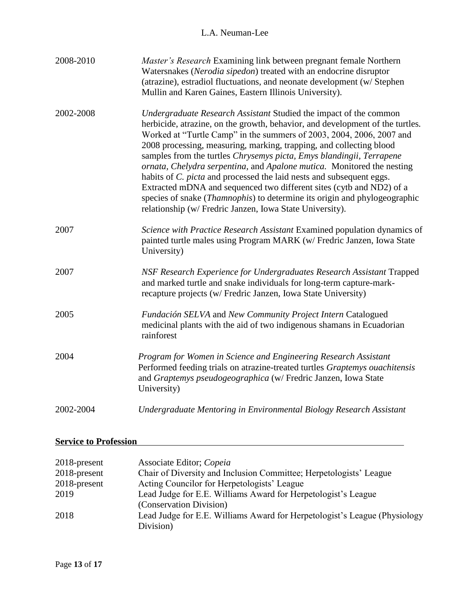| 2008-2010 | Master's Research Examining link between pregnant female Northern<br>Watersnakes (Nerodia sipedon) treated with an endocrine disruptor<br>(atrazine), estradiol fluctuations, and neonate development (w/ Stephen<br>Mullin and Karen Gaines, Eastern Illinois University).                                                                                                                                                                                                                                                                                                                                                                                                                                                                                  |
|-----------|--------------------------------------------------------------------------------------------------------------------------------------------------------------------------------------------------------------------------------------------------------------------------------------------------------------------------------------------------------------------------------------------------------------------------------------------------------------------------------------------------------------------------------------------------------------------------------------------------------------------------------------------------------------------------------------------------------------------------------------------------------------|
| 2002-2008 | Undergraduate Research Assistant Studied the impact of the common<br>herbicide, atrazine, on the growth, behavior, and development of the turtles.<br>Worked at "Turtle Camp" in the summers of 2003, 2004, 2006, 2007 and<br>2008 processing, measuring, marking, trapping, and collecting blood<br>samples from the turtles Chrysemys picta, Emys blandingii, Terrapene<br>ornata, Chelydra serpentina, and Apalone mutica. Monitored the nesting<br>habits of <i>C. picta</i> and processed the laid nests and subsequent eggs.<br>Extracted mDNA and sequenced two different sites (cytb and ND2) of a<br>species of snake ( <i>Thamnophis</i> ) to determine its origin and phylogeographic<br>relationship (w/ Fredric Janzen, Iowa State University). |
| 2007      | Science with Practice Research Assistant Examined population dynamics of<br>painted turtle males using Program MARK (w/ Fredric Janzen, Iowa State<br>University)                                                                                                                                                                                                                                                                                                                                                                                                                                                                                                                                                                                            |
| 2007      | NSF Research Experience for Undergraduates Research Assistant Trapped<br>and marked turtle and snake individuals for long-term capture-mark-<br>recapture projects (w/ Fredric Janzen, Iowa State University)                                                                                                                                                                                                                                                                                                                                                                                                                                                                                                                                                |
| 2005      | Fundación SELVA and New Community Project Intern Catalogued<br>medicinal plants with the aid of two indigenous shamans in Ecuadorian<br>rainforest                                                                                                                                                                                                                                                                                                                                                                                                                                                                                                                                                                                                           |
| 2004      | Program for Women in Science and Engineering Research Assistant<br>Performed feeding trials on atrazine-treated turtles Graptemys ouachitensis<br>and Graptemys pseudogeographica (w/ Fredric Janzen, Iowa State<br>University)                                                                                                                                                                                                                                                                                                                                                                                                                                                                                                                              |
| 2002-2004 | Undergraduate Mentoring in Environmental Biology Research Assistant                                                                                                                                                                                                                                                                                                                                                                                                                                                                                                                                                                                                                                                                                          |

# **Service to Profession**

| 2018-present | Associate Editor; Copeia                                                               |
|--------------|----------------------------------------------------------------------------------------|
| 2018-present | Chair of Diversity and Inclusion Committee; Herpetologists' League                     |
| 2018-present | Acting Councilor for Herpetologists' League                                            |
| 2019         | Lead Judge for E.E. Williams Award for Herpetologist's League                          |
|              | (Conservation Division)                                                                |
| 2018         | Lead Judge for E.E. Williams Award for Herpetologist's League (Physiology<br>Division) |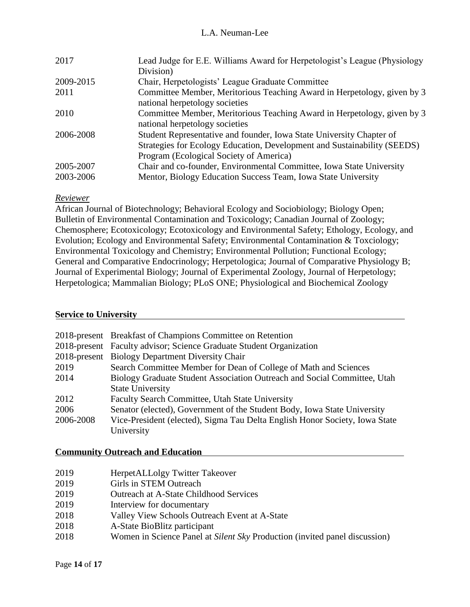| 2017      | Lead Judge for E.E. Williams Award for Herpetologist's League (Physiology                                 |
|-----------|-----------------------------------------------------------------------------------------------------------|
|           | Division)                                                                                                 |
| 2009-2015 | Chair, Herpetologists' League Graduate Committee                                                          |
| 2011      | Committee Member, Meritorious Teaching Award in Herpetology, given by 3<br>national herpetology societies |
|           |                                                                                                           |
| 2010      | Committee Member, Meritorious Teaching Award in Herpetology, given by 3                                   |
|           | national herpetology societies                                                                            |
| 2006-2008 | Student Representative and founder, Iowa State University Chapter of                                      |
|           | Strategies for Ecology Education, Development and Sustainability (SEEDS)                                  |
|           | Program (Ecological Society of America)                                                                   |
| 2005-2007 | Chair and co-founder, Environmental Committee, Iowa State University                                      |
| 2003-2006 | Mentor, Biology Education Success Team, Iowa State University                                             |

### *Reviewer*

African Journal of Biotechnology; Behavioral Ecology and Sociobiology; Biology Open; Bulletin of Environmental Contamination and Toxicology; Canadian Journal of Zoology; Chemosphere; Ecotoxicology; Ecotoxicology and Environmental Safety; Ethology, Ecology, and Evolution; Ecology and Environmental Safety; Environmental Contamination & Toxciology; Environmental Toxicology and Chemistry; Environmental Pollution; Functional Ecology; General and Comparative Endocrinology; Herpetologica; Journal of Comparative Physiology B; Journal of Experimental Biology; Journal of Experimental Zoology, Journal of Herpetology; Herpetologica; Mammalian Biology; PLoS ONE; Physiological and Biochemical Zoology

## **Service to University**

|           | 2018-present Breakfast of Champions Committee on Retention                  |
|-----------|-----------------------------------------------------------------------------|
|           | 2018-present Faculty advisor; Science Graduate Student Organization         |
|           | 2018-present Biology Department Diversity Chair                             |
| 2019      | Search Committee Member for Dean of College of Math and Sciences            |
| 2014      | Biology Graduate Student Association Outreach and Social Committee, Utah    |
|           | <b>State University</b>                                                     |
| 2012      | Faculty Search Committee, Utah State University                             |
| 2006      | Senator (elected), Government of the Student Body, Iowa State University    |
| 2006-2008 | Vice-President (elected), Sigma Tau Delta English Honor Society, Iowa State |
|           | University                                                                  |

### **Community Outreach and Education**

| 2019 | HerpetALLolgy Twitter Takeover                                             |
|------|----------------------------------------------------------------------------|
| 2019 | Girls in STEM Outreach                                                     |
| 2019 | <b>Outreach at A-State Childhood Services</b>                              |
| 2019 | Interview for documentary                                                  |
| 2018 | Valley View Schools Outreach Event at A-State                              |
| 2018 | A-State BioBlitz participant                                               |
| 2018 | Women in Science Panel at Silent Sky Production (invited panel discussion) |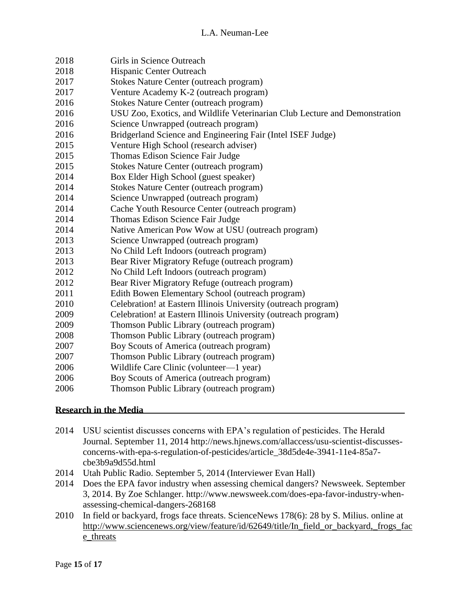| 2018 | Girls in Science Outreach                                                  |
|------|----------------------------------------------------------------------------|
| 2018 | Hispanic Center Outreach                                                   |
| 2017 | Stokes Nature Center (outreach program)                                    |
| 2017 | Venture Academy K-2 (outreach program)                                     |
| 2016 | <b>Stokes Nature Center (outreach program)</b>                             |
| 2016 | USU Zoo, Exotics, and Wildlife Veterinarian Club Lecture and Demonstration |
| 2016 | Science Unwrapped (outreach program)                                       |
| 2016 | Bridgerland Science and Engineering Fair (Intel ISEF Judge)                |
| 2015 | Venture High School (research adviser)                                     |
| 2015 | Thomas Edison Science Fair Judge                                           |
| 2015 | <b>Stokes Nature Center (outreach program)</b>                             |
| 2014 | Box Elder High School (guest speaker)                                      |
| 2014 | <b>Stokes Nature Center (outreach program)</b>                             |
| 2014 | Science Unwrapped (outreach program)                                       |
| 2014 | Cache Youth Resource Center (outreach program)                             |
| 2014 | Thomas Edison Science Fair Judge                                           |
| 2014 | Native American Pow Wow at USU (outreach program)                          |
| 2013 | Science Unwrapped (outreach program)                                       |
| 2013 | No Child Left Indoors (outreach program)                                   |
| 2013 | Bear River Migratory Refuge (outreach program)                             |
| 2012 | No Child Left Indoors (outreach program)                                   |
| 2012 | Bear River Migratory Refuge (outreach program)                             |
| 2011 | Edith Bowen Elementary School (outreach program)                           |
| 2010 | Celebration! at Eastern Illinois University (outreach program)             |
| 2009 | Celebration! at Eastern Illinois University (outreach program)             |
| 2009 | Thomson Public Library (outreach program)                                  |
| 2008 | Thomson Public Library (outreach program)                                  |
| 2007 | Boy Scouts of America (outreach program)                                   |
| 2007 | Thomson Public Library (outreach program)                                  |
| 2006 | Wildlife Care Clinic (volunteer-1 year)                                    |
| 2006 | Boy Scouts of America (outreach program)                                   |
| 2006 | Thomson Public Library (outreach program)                                  |

## **Research in the Media**

- USU scientist discusses concerns with EPA's regulation of pesticides. The Herald Journal. September 11, 2014 http://news.hjnews.com/allaccess/usu-scientist-discussesconcerns-with-epa-s-regulation-of-pesticides/article\_38d5de4e-3941-11e4-85a7 cbe3b9a9d55d.html
- Utah Public Radio. September 5, 2014 (Interviewer Evan Hall)
- Does the EPA favor industry when assessing chemical dangers? Newsweek. September 3, 2014. By Zoe Schlanger. http://www.newsweek.com/does-epa-favor-industry-whenassessing-chemical-dangers-268168
- In field or backyard, frogs face threats. ScienceNews 178(6): 28 by S. Milius. online at [http://www.sciencenews.org/view/feature/id/62649/title/In\\_field\\_or\\_backyard,\\_frogs\\_fac](http://www.sciencenews.org/view/feature/id/62649/title/In_field_or_backyard,_frogs_face_threats) [e\\_threats](http://www.sciencenews.org/view/feature/id/62649/title/In_field_or_backyard,_frogs_face_threats)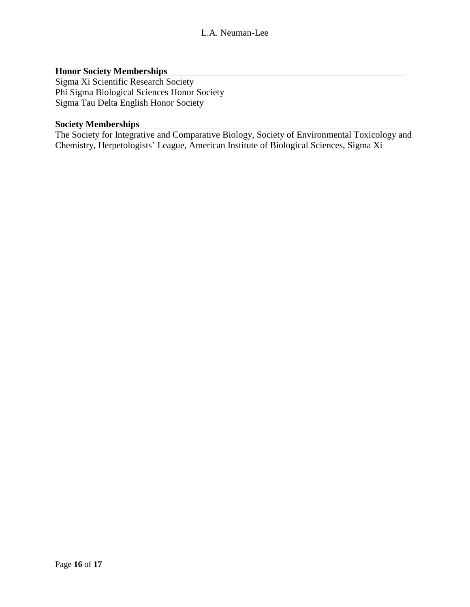## **Honor Society Memberships**

Sigma Xi Scientific Research Society Phi Sigma Biological Sciences Honor Society Sigma Tau Delta English Honor Society

### **Society Memberships**

The Society for Integrative and Comparative Biology, Society of Environmental Toxicology and Chemistry, Herpetologists' League, American Institute of Biological Sciences, Sigma Xi